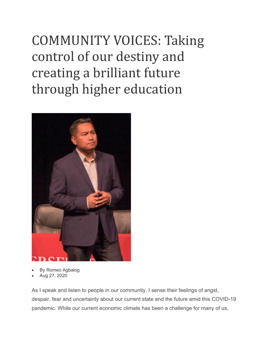## COMMUNITY VOICES: Taking control of our destiny and creating a brilliant future through higher education



- By Romeo Agbalog
- Aug 27, 2020

As I speak and listen to people in our community, I sense their feelings of angst, despair, fear and uncertainty about our current state and the future amid this COVID-19 pandemic. While our current economic climate has been a challenge for many of us,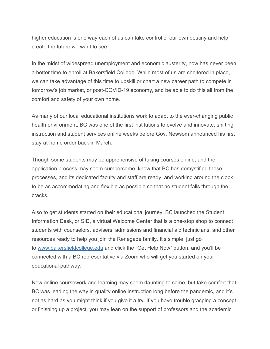higher education is one way each of us can take control of our own destiny and help create the future we want to see.

In the midst of widespread unemployment and economic austerity, now has never been a better time to enroll at Bakersfield College. While most of us are sheltered in place, we can take advantage of this time to upskill or chart a new career path to compete in tomorrow's job market, or post-COVID-19 economy, and be able to do this all from the comfort and safety of your own home.

As many of our local educational institutions work to adapt to the ever-changing public health environment, BC was one of the first institutions to evolve and innovate, shifting instruction and student services online weeks before Gov. Newsom announced his first stay-at-home order back in March.

Though some students may be apprehensive of taking courses online, and the application process may seem cumbersome, know that BC has demystified these processes, and its dedicated faculty and staff are ready, and working around the clock to be as accommodating and flexible as possible so that no student falls through the cracks.

Also to get students started on their educational journey, BC launched the Student Information Desk, or SID, a virtual Welcome Center that is a one-stop shop to connect students with counselors, advisers, admissions and financial aid technicians, and other resources ready to help you join the Renegade family. It's simple, just go to [www.bakersfieldcollege.edu](http://www.bakersfieldcollege.edu/) and click the "Get Help Now" button, and you'll be connected with a BC representative via Zoom who will get you started on your educational pathway.

Now online coursework and learning may seem daunting to some, but take comfort that BC was leading the way in quality online instruction long before the pandemic, and it's not as hard as you might think if you give it a try. If you have trouble grasping a concept or finishing up a project, you may lean on the support of professors and the academic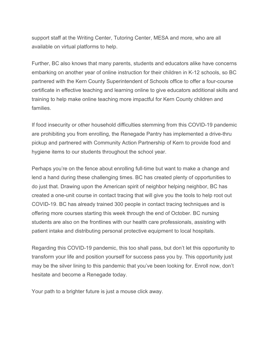support staff at the Writing Center, Tutoring Center, MESA and more, who are all available on virtual platforms to help.

Further, BC also knows that many parents, students and educators alike have concerns embarking on another year of online instruction for their children in K-12 schools, so BC partnered with the Kern County Superintendent of Schools office to offer a four-course certificate in effective teaching and learning online to give educators additional skills and training to help make online teaching more impactful for Kern County children and families.

If food insecurity or other household difficulties stemming from this COVID-19 pandemic are prohibiting you from enrolling, the Renegade Pantry has implemented a drive-thru pickup and partnered with Community Action Partnership of Kern to provide food and hygiene items to our students throughout the school year.

Perhaps you're on the fence about enrolling full-time but want to make a change and lend a hand during these challenging times. BC has created plenty of opportunities to do just that. Drawing upon the American spirit of neighbor helping neighbor, BC has created a one-unit course in contact tracing that will give you the tools to help root out COVID-19. BC has already trained 300 people in contact tracing techniques and is offering more courses starting this week through the end of October. BC nursing students are also on the frontlines with our health care professionals, assisting with patient intake and distributing personal protective equipment to local hospitals.

Regarding this COVID-19 pandemic, this too shall pass, but don't let this opportunity to transform your life and position yourself for success pass you by. This opportunity just may be the silver lining to this pandemic that you've been looking for. Enroll now, don't hesitate and become a Renegade today.

Your path to a brighter future is just a mouse click away.